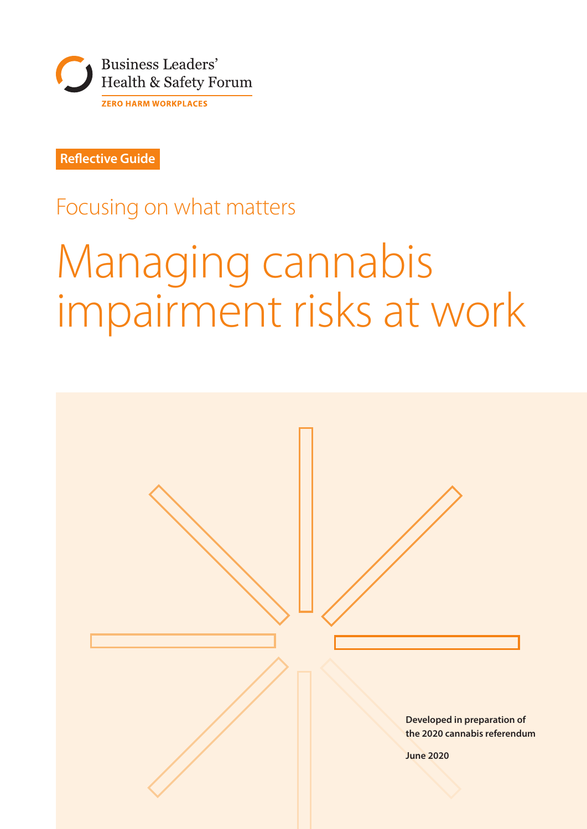

**Reflective Guide** 

### Focusing on what matters

# Managing cannabis impairment risks at work

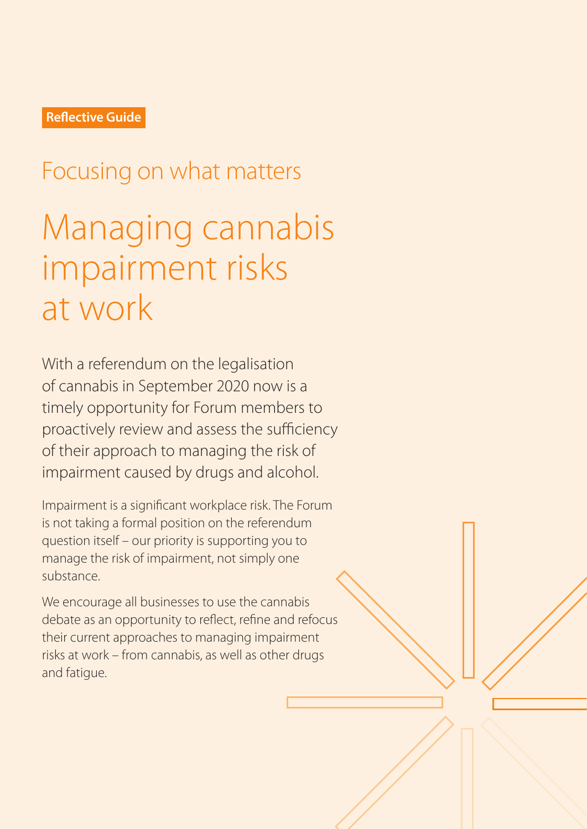**Reflective Guide** 

### Focusing on what matters

## Managing cannabis impairment risks at work

With a referendum on the legalisation of cannabis in September 2020 now is a timely opportunity for Forum members to proactively review and assess the sufficiency of their approach to managing the risk of impairment caused by drugs and alcohol.

Impairment is a significant workplace risk. The Forum is not taking a formal position on the referendum question itself – our priority is supporting you to manage the risk of impairment, not simply one substance.

We encourage all businesses to use the cannabis debate as an opportunity to reflect, refine and refocus their current approaches to managing impairment risks at work – from cannabis, as well as other drugs and fatigue.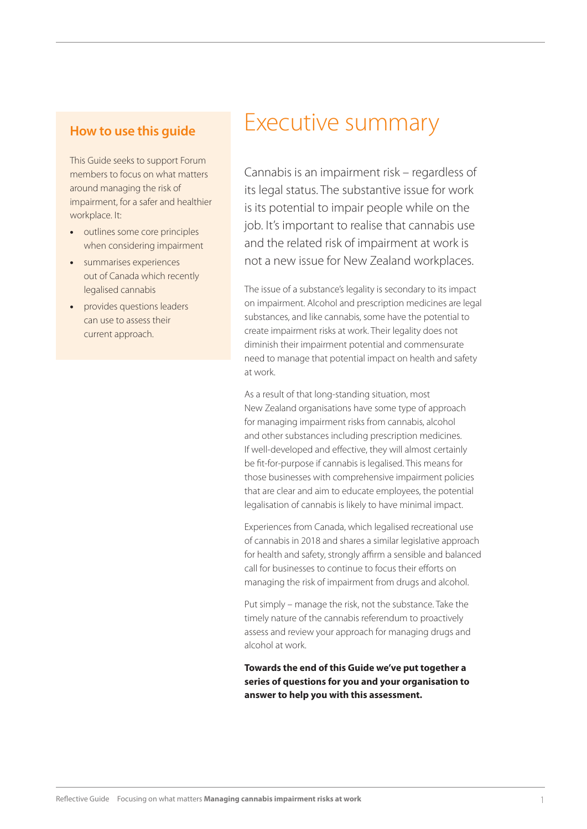#### **How to use this guide**

This Guide seeks to support Forum members to focus on what matters around managing the risk of impairment, for a safer and healthier workplace. It:

- outlines some core principles when considering impairment
- summarises experiences out of Canada which recently legalised cannabis
- provides questions leaders can use to assess their current approach.

### Executive summary

Cannabis is an impairment risk – regardless of its legal status. The substantive issue for work is its potential to impair people while on the job. It's important to realise that cannabis use and the related risk of impairment at work is not a new issue for New Zealand workplaces.

The issue of a substance's legality is secondary to its impact on impairment. Alcohol and prescription medicines are legal substances, and like cannabis, some have the potential to create impairment risks at work. Their legality does not diminish their impairment potential and commensurate need to manage that potential impact on health and safety at work.

As a result of that long-standing situation, most New Zealand organisations have some type of approach for managing impairment risks from cannabis, alcohol and other substances including prescription medicines. If well-developed and effective, they will almost certainly be fit-for-purpose if cannabis is legalised. This means for those businesses with comprehensive impairment policies that are clear and aim to educate employees, the potential legalisation of cannabis is likely to have minimal impact.

Experiences from Canada, which legalised recreational use of cannabis in 2018 and shares a similar legislative approach for health and safety, strongly affirm a sensible and balanced call for businesses to continue to focus their efforts on managing the risk of impairment from drugs and alcohol.

Put simply – manage the risk, not the substance. Take the timely nature of the cannabis referendum to proactively assess and review your approach for managing drugs and alcohol at work.

**Towards the end of this Guide we've put together a series of questions for you and your organisation to answer to help you with this assessment.**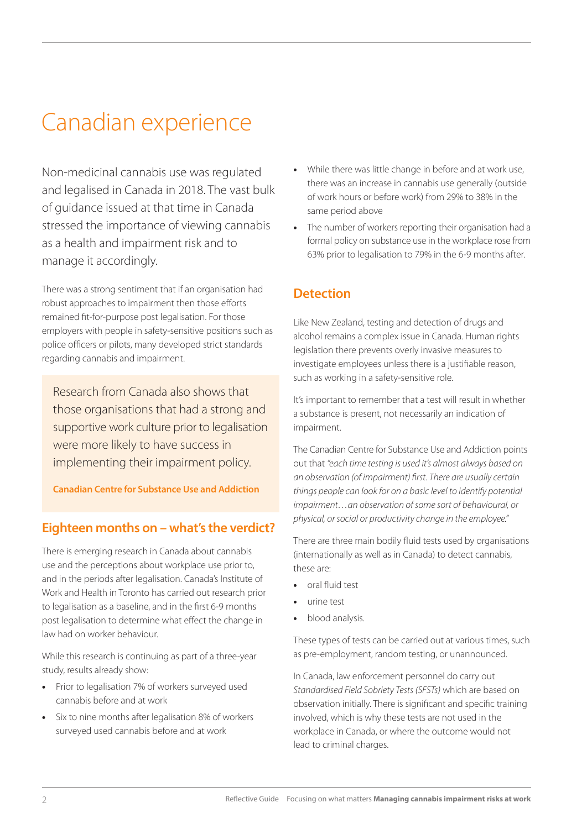### Canadian experience

Non-medicinal cannabis use was regulated and legalised in Canada in 2018. The vast bulk of guidance issued at that time in Canada stressed the importance of viewing cannabis as a health and impairment risk and to manage it accordingly.

There was a strong sentiment that if an organisation had robust approaches to impairment then those efforts remained fit-for-purpose post legalisation. For those employers with people in safety-sensitive positions such as police officers or pilots, many developed strict standards regarding cannabis and impairment.

Research from Canada also shows that those organisations that had a strong and supportive work culture prior to legalisation were more likely to have success in implementing their impairment policy.

**Canadian Centre for Substance Use and Addiction**

### **Eighteen months on – what's the verdict?**

There is emerging research in Canada about cannabis use and the perceptions about workplace use prior to, and in the periods after legalisation. Canada's Institute of Work and Health in Toronto has carried out research prior to legalisation as a baseline, and in the first 6-9 months post legalisation to determine what effect the change in law had on worker behaviour.

While this research is continuing as part of a three-year study, results already show:

- Prior to legalisation 7% of workers surveyed used cannabis before and at work
- Six to nine months after legalisation 8% of workers surveyed used cannabis before and at work
- While there was little change in before and at work use, there was an increase in cannabis use generally (outside of work hours or before work) from 29% to 38% in the same period above
- The number of workers reporting their organisation had a formal policy on substance use in the workplace rose from 63% prior to legalisation to 79% in the 6-9 months after.

### **Detection**

Like New Zealand, testing and detection of drugs and alcohol remains a complex issue in Canada. Human rights legislation there prevents overly invasive measures to investigate employees unless there is a justifiable reason, such as working in a safety-sensitive role.

It's important to remember that a test will result in whether a substance is present, not necessarily an indication of impairment.

The Canadian Centre for Substance Use and Addiction points out that *"each time testing is used it's almost always based on an observation (of impairment) first. There are usually certain things people can look for on a basic level to identify potential impairment…an observation of some sort of behavioural, or physical, or social or productivity change in the employee."*

There are three main bodily fluid tests used by organisations (internationally as well as in Canada) to detect cannabis, these are:

- oral fluid test
- urine test
- blood analysis.

These types of tests can be carried out at various times, such as pre-employment, random testing, or unannounced.

In Canada, law enforcement personnel do carry out *Standardised Field Sobriety Tests (SFSTs)* which are based on observation initially. There is significant and specific training involved, which is why these tests are not used in the workplace in Canada, or where the outcome would not lead to criminal charges.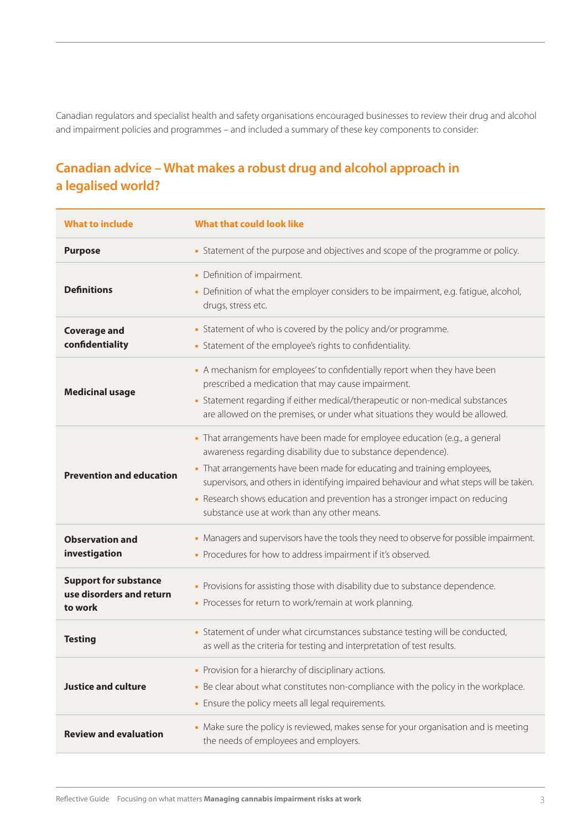Canadian regulators and specialist health and safety organisations encouraged businesses to review their drug and alcohol and impairment policies and programmes – and included a summary of these key components to consider:

### **Canadian advice – What makes a robust drug and alcohol approach in a legalised world?**

| <b>What to include</b>                                              | <b>What that could look like</b>                                                                                                                                                                                                                                                                                                                                                                                                                |  |
|---------------------------------------------------------------------|-------------------------------------------------------------------------------------------------------------------------------------------------------------------------------------------------------------------------------------------------------------------------------------------------------------------------------------------------------------------------------------------------------------------------------------------------|--|
| <b>Purpose</b>                                                      | • Statement of the purpose and objectives and scope of the programme or policy.                                                                                                                                                                                                                                                                                                                                                                 |  |
| <b>Definitions</b>                                                  | • Definition of impairment.<br>• Definition of what the employer considers to be impairment, e.g. fatigue, alcohol,<br>drugs, stress etc.                                                                                                                                                                                                                                                                                                       |  |
| <b>Coverage and</b><br>confidentiality                              | • Statement of who is covered by the policy and/or programme.<br>• Statement of the employee's rights to confidentiality.                                                                                                                                                                                                                                                                                                                       |  |
| <b>Medicinal usage</b>                                              | • A mechanism for employees' to confidentially report when they have been<br>prescribed a medication that may cause impairment.<br>• Statement regarding if either medical/therapeutic or non-medical substances<br>are allowed on the premises, or under what situations they would be allowed.                                                                                                                                                |  |
| <b>Prevention and education</b>                                     | • That arrangements have been made for employee education (e.g., a general<br>awareness regarding disability due to substance dependence).<br>• That arrangements have been made for educating and training employees,<br>supervisors, and others in identifying impaired behaviour and what steps will be taken.<br>• Research shows education and prevention has a stronger impact on reducing<br>substance use at work than any other means. |  |
| <b>Observation and</b><br>investigation                             | • Managers and supervisors have the tools they need to observe for possible impairment.<br>• Procedures for how to address impairment if it's observed.                                                                                                                                                                                                                                                                                         |  |
| <b>Support for substance</b><br>use disorders and return<br>to work | • Provisions for assisting those with disability due to substance dependence.<br>• Processes for return to work/remain at work planning.                                                                                                                                                                                                                                                                                                        |  |
| <b>Testing</b>                                                      | • Statement of under what circumstances substance testing will be conducted,<br>as well as the criteria for testing and interpretation of test results.                                                                                                                                                                                                                                                                                         |  |
| <b>Justice and culture</b>                                          | • Provision for a hierarchy of disciplinary actions.<br>• Be clear about what constitutes non-compliance with the policy in the workplace.<br>• Ensure the policy meets all legal requirements.                                                                                                                                                                                                                                                 |  |
| <b>Review and evaluation</b>                                        | • Make sure the policy is reviewed, makes sense for your organisation and is meeting<br>the needs of employees and employers.                                                                                                                                                                                                                                                                                                                   |  |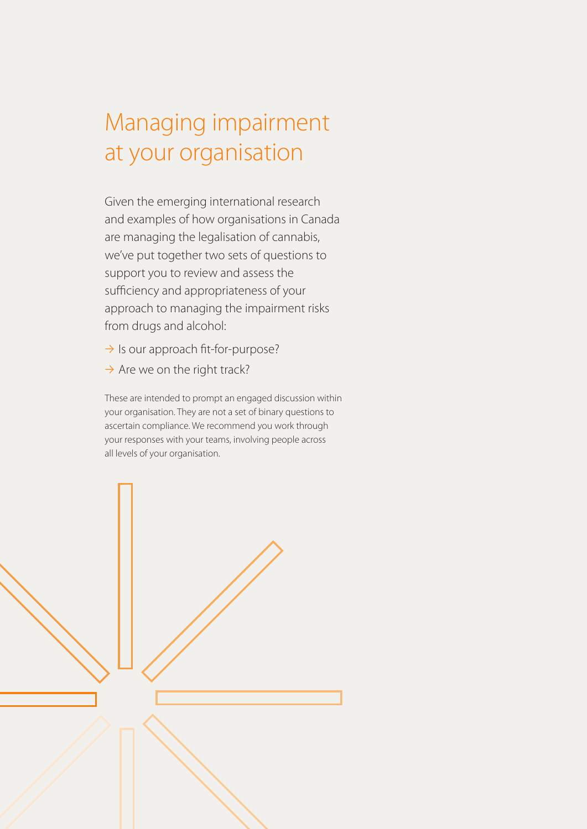### Managing impairment at your organisation

Given the emerging international research and examples of how organisations in Canada are managing the legalisation of cannabis, we've put together two sets of questions to support you to review and assess the sufficiency and appropriateness of your approach to managing the impairment risks from drugs and alcohol:

- $\rightarrow$  Is our approach fit-for-purpose?
- $\rightarrow$  Are we on the right track?

These are intended to prompt an engaged discussion within your organisation. They are not a set of binary questions to ascertain compliance. We recommend you work through your responses with your teams, involving people across all levels of your organisation.

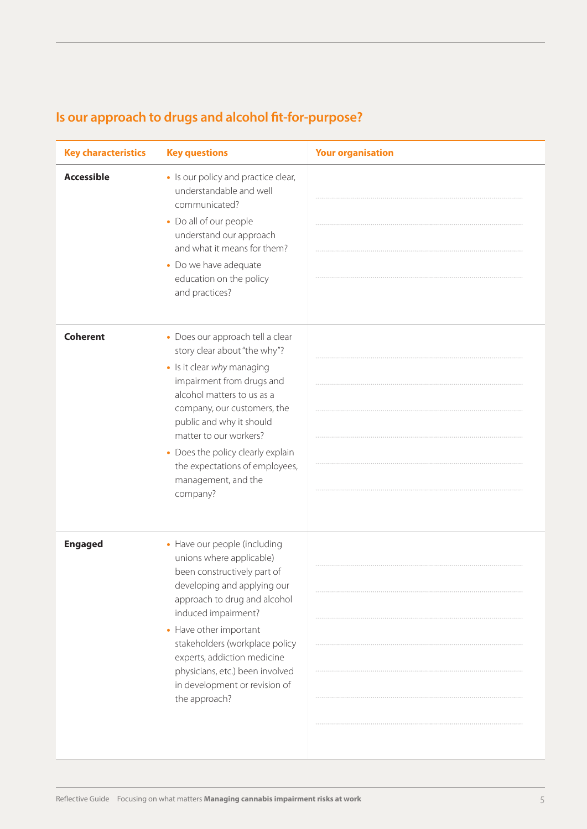### **Is our approach to drugs and alcohol fit-for-purpose?**

| <b>Key characteristics</b> | <b>Key questions</b>                                                                                                                                                                                                                                                                                                                                          | <b>Your organisation</b> |
|----------------------------|---------------------------------------------------------------------------------------------------------------------------------------------------------------------------------------------------------------------------------------------------------------------------------------------------------------------------------------------------------------|--------------------------|
| <b>Accessible</b>          | • Is our policy and practice clear,<br>understandable and well<br>communicated?<br>• Do all of our people<br>understand our approach<br>and what it means for them?<br>• Do we have adequate<br>education on the policy<br>and practices?                                                                                                                     |                          |
| <b>Coherent</b>            | • Does our approach tell a clear<br>story clear about "the why"?<br>· Is it clear why managing<br>impairment from drugs and<br>alcohol matters to us as a<br>company, our customers, the<br>public and why it should<br>matter to our workers?<br>• Does the policy clearly explain<br>the expectations of employees,<br>management, and the<br>company?      |                          |
| <b>Engaged</b>             | • Have our people (including<br>unions where applicable)<br>been constructively part of<br>developing and applying our<br>approach to drug and alcohol<br>induced impairment?<br>• Have other important<br>stakeholders (workplace policy<br>experts, addiction medicine<br>physicians, etc.) been involved<br>in development or revision of<br>the approach? |                          |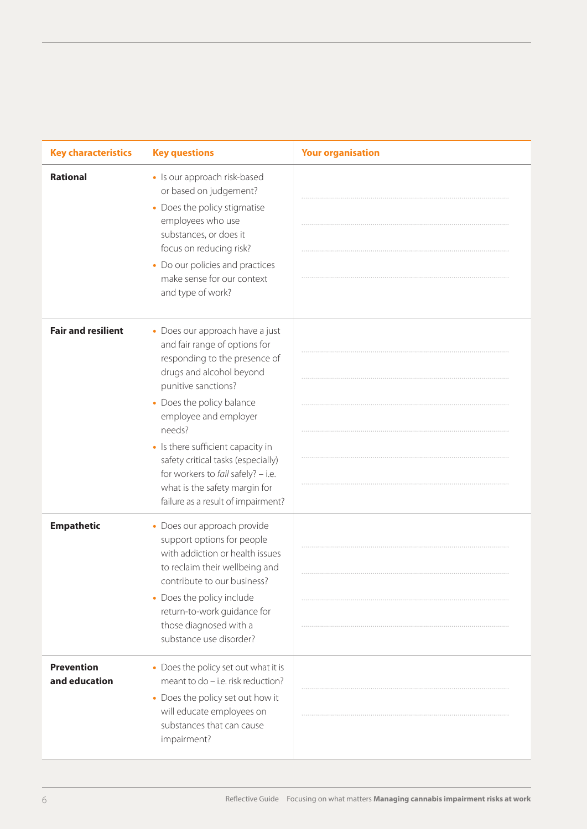| <b>Key characteristics</b>         | <b>Key questions</b>                                                                                                                                                                                                                                                                                                                                                                                         | <b>Your organisation</b> |
|------------------------------------|--------------------------------------------------------------------------------------------------------------------------------------------------------------------------------------------------------------------------------------------------------------------------------------------------------------------------------------------------------------------------------------------------------------|--------------------------|
| <b>Rational</b>                    | · Is our approach risk-based<br>or based on judgement?<br>• Does the policy stigmatise<br>employees who use<br>substances, or does it<br>focus on reducing risk?<br>• Do our policies and practices<br>make sense for our context<br>and type of work?                                                                                                                                                       |                          |
| <b>Fair and resilient</b>          | • Does our approach have a just<br>and fair range of options for<br>responding to the presence of<br>drugs and alcohol beyond<br>punitive sanctions?<br>• Does the policy balance<br>employee and employer<br>needs?<br>• Is there sufficient capacity in<br>safety critical tasks (especially)<br>for workers to fail safely? - i.e.<br>what is the safety margin for<br>failure as a result of impairment? |                          |
| <b>Empathetic</b>                  | • Does our approach provide<br>support options for people<br>with addiction or health issues<br>to reclaim their wellbeing and<br>contribute to our business?<br>• Does the policy include<br>return-to-work guidance for<br>those diagnosed with a<br>substance use disorder?                                                                                                                               |                          |
| <b>Prevention</b><br>and education | • Does the policy set out what it is<br>meant to do - i.e. risk reduction?<br>• Does the policy set out how it<br>will educate employees on<br>substances that can cause<br>impairment?                                                                                                                                                                                                                      |                          |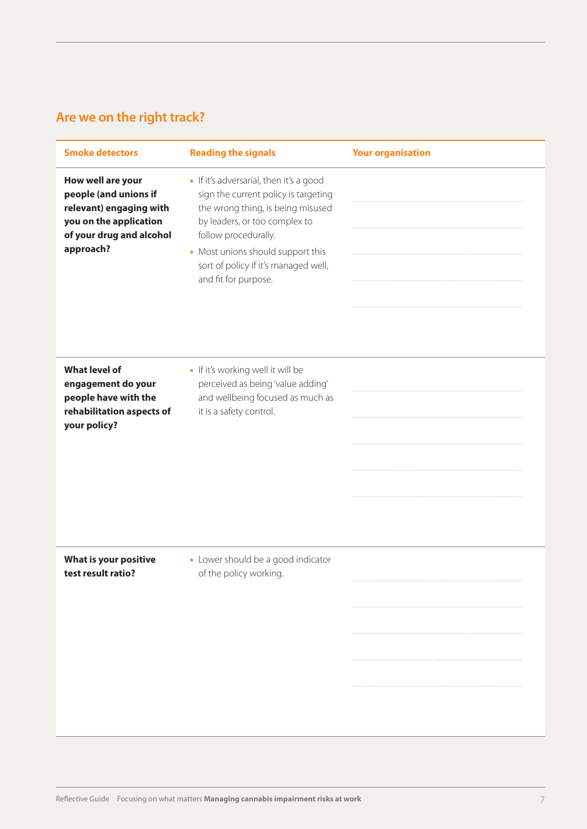### **Are we on the right track?**

| <b>Smoke detectors</b>                                                                                                                   | <b>Reading the signals</b>                                                                                                                                                                                                                                                         | <b>Your organisation</b> |
|------------------------------------------------------------------------------------------------------------------------------------------|------------------------------------------------------------------------------------------------------------------------------------------------------------------------------------------------------------------------------------------------------------------------------------|--------------------------|
| How well are your<br>people (and unions if<br>relevant) engaging with<br>you on the application<br>of your drug and alcohol<br>approach? | • If it's adversarial, then it's a good<br>sign the current policy is targeting<br>the wrong thing, is being misused<br>by leaders, or too complex to<br>follow procedurally.<br>• Most unions should support this<br>sort of policy if it's managed well,<br>and fit for purpose. |                          |
| <b>What level of</b><br>engagement do your<br>people have with the<br>rehabilitation aspects of<br>your policy?                          | · If it's working well it will be<br>perceived as being 'value adding'<br>and wellbeing focused as much as<br>it is a safety control.                                                                                                                                              |                          |
| What is your positive<br>test result ratio?                                                                                              | • Lower should be a good indicator<br>of the policy working.                                                                                                                                                                                                                       |                          |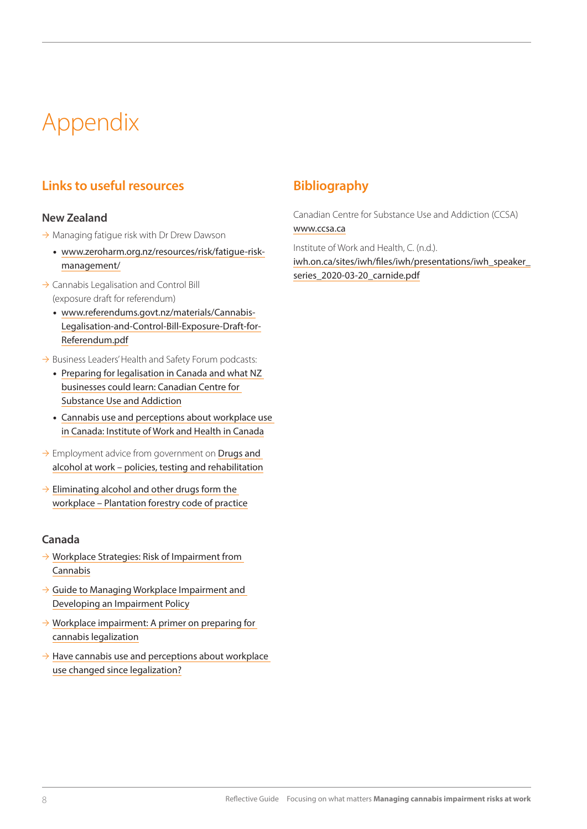### Appendix

### **Links to useful resources**

#### **New Zealand**

- → Managing fatigue risk with Dr Drew Dawson
	- [www.zeroharm.org.nz/resources/risk/fatigue-risk](http://www.zeroharm.org.nz/resources/risk/fatigue-risk-management/)[management/](http://www.zeroharm.org.nz/resources/risk/fatigue-risk-management/)
- $\rightarrow$  Cannabis Legalisation and Control Bill (exposure draft for referendum)
	- [www.referendums.govt.nz/materials/Cannabis-](http://www.referendums.govt.nz/materials/Cannabis-Legalisation-and-Control-Bill-Exposure-Draft-for-Referendum.pdf)[Legalisation-and-Control-Bill-Exposure-Draft-for-](http://www.referendums.govt.nz/materials/Cannabis-Legalisation-and-Control-Bill-Exposure-Draft-for-Referendum.pdf)[Referendum.pdf](http://www.referendums.govt.nz/materials/Cannabis-Legalisation-and-Control-Bill-Exposure-Draft-for-Referendum.pdf)
- → Business Leaders' Health and Safety Forum podcasts:
	- [Preparing for legalisation in Canada and what NZ](https://www.zeroharm.org.nz/resources/risk/managing-cannabis-impairment-risks-at-work)  [businesses could learn: Canadian Centre for](https://www.zeroharm.org.nz/resources/risk/managing-cannabis-impairment-risks-at-work)  [Substance Use and Addiction](https://www.zeroharm.org.nz/resources/risk/managing-cannabis-impairment-risks-at-work)
	- [Cannabis use and perceptions about workplace use](https://www.zeroharm.org.nz/resources/risk/managing-cannabis-impairment-risks-at-work)  [in Canada: Institute of Work and Health in Canada](https://www.zeroharm.org.nz/resources/risk/managing-cannabis-impairment-risks-at-work)
- $\rightarrow$  Employment advice from government on Drugs and [alcohol at work – policies, testing and rehabilitation](https://www.employment.govt.nz/workplace-policies/tests-and-checks/drugs-alcohol-and-work/)
- $\rightarrow$  Eliminating alcohol and other drugs form the [workplace – Plantation forestry code of practice](https://www.nzfoa.org.nz/resources/file-libraries-resources/codes-of-practice/drugs-alcohol/560-code-of-practise-eliminating-alochol-and-other-drugs-from-the-workplace-2015/file)

#### **Canada**

- $\rightarrow$  Workplace Strategies: Risk of Impairment from [Cannabis](http://www.ccohs.ca/products/publications/cannabis_whitepaper.pdf)
- $\rightarrow$  Guide to Managing Workplace Impairment and [Developing an Impairment Policy](https://www.worksafebc.com/en/resources/health-safety/books-guides/guide-managing-workplace-impairment-developing-impairment-policy?lang=en)
- $\rightarrow$  Workplace impairment: A primer on preparing for [cannabis legalization](https://www.worksafebc.com/en/resources/law-policy/act-amendments/workplace-impairment-primer-preparing-cannabis-legalization?lang=en)
- $\rightarrow$  Have cannabis use and perceptions about workplace [use changed since legalization?](https://www.iwh.on.ca/events/speaker-series/2020-mar-03)

#### **Bibliography**

Canadian Centre for Substance Use and Addiction (CCSA) [www.ccsa.ca](https://www.ccsa.ca)

Institute of Work and Health, C. (n.d.). [iwh.on.ca/sites/iwh/files/iwh/presentations/iwh\\_speaker\\_](http://iwh.on.ca/sites/iwh/files/iwh/presentations/iwh_speaker_series_2020-03-20_carnide.pdf) [series\\_2020-03-20\\_carnide.pdf](http://iwh.on.ca/sites/iwh/files/iwh/presentations/iwh_speaker_series_2020-03-20_carnide.pdf)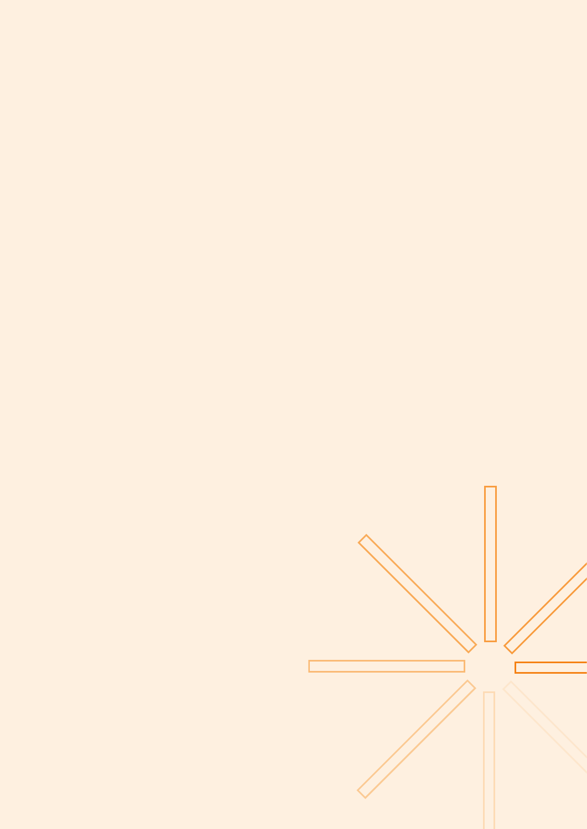